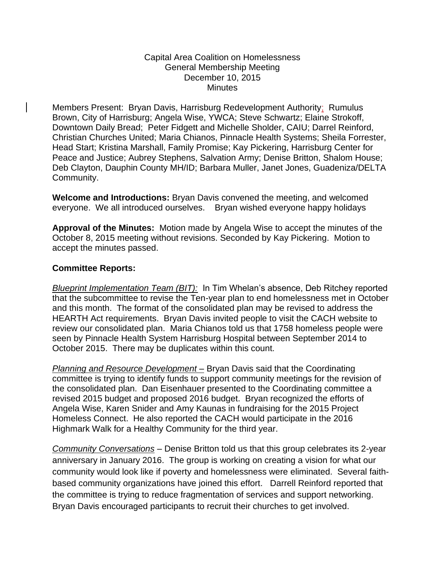## Capital Area Coalition on Homelessness General Membership Meeting December 10, 2015 **Minutes**

Members Present: Bryan Davis, Harrisburg Redevelopment Authority; Rumulus Brown, City of Harrisburg; Angela Wise, YWCA; Steve Schwartz; Elaine Strokoff, Downtown Daily Bread; Peter Fidgett and Michelle Sholder, CAIU; Darrel Reinford, Christian Churches United; Maria Chianos, Pinnacle Health Systems; Sheila Forrester, Head Start; Kristina Marshall, Family Promise; Kay Pickering, Harrisburg Center for Peace and Justice; Aubrey Stephens, Salvation Army; Denise Britton, Shalom House; Deb Clayton, Dauphin County MH/ID; Barbara Muller, Janet Jones, Guadeniza/DELTA Community.

**Welcome and Introductions:** Bryan Davis convened the meeting, and welcomed everyone. We all introduced ourselves. Bryan wished everyone happy holidays

**Approval of the Minutes:** Motion made by Angela Wise to accept the minutes of the October 8, 2015 meeting without revisions. Seconded by Kay Pickering. Motion to accept the minutes passed.

## **Committee Reports:**

*Blueprint Implementation Team (BIT):* In Tim Whelan's absence, Deb Ritchey reported that the subcommittee to revise the Ten-year plan to end homelessness met in October and this month. The format of the consolidated plan may be revised to address the HEARTH Act requirements. Bryan Davis invited people to visit the CACH website to review our consolidated plan. Maria Chianos told us that 1758 homeless people were seen by Pinnacle Health System Harrisburg Hospital between September 2014 to October 2015. There may be duplicates within this count.

*Planning and Resource Development –* Bryan Davis said that the Coordinating committee is trying to identify funds to support community meetings for the revision of the consolidated plan. Dan Eisenhauer presented to the Coordinating committee a revised 2015 budget and proposed 2016 budget. Bryan recognized the efforts of Angela Wise, Karen Snider and Amy Kaunas in fundraising for the 2015 Project Homeless Connect. He also reported the CACH would participate in the 2016 Highmark Walk for a Healthy Community for the third year.

*Community Conversations* – Denise Britton told us that this group celebrates its 2-year anniversary in January 2016. The group is working on creating a vision for what our community would look like if poverty and homelessness were eliminated. Several faithbased community organizations have joined this effort. Darrell Reinford reported that the committee is trying to reduce fragmentation of services and support networking. Bryan Davis encouraged participants to recruit their churches to get involved.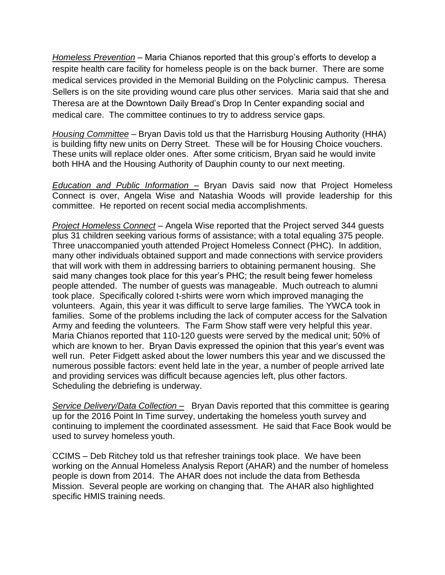*Homeless Prevention* – Maria Chianos reported that this group's efforts to develop a respite health care facility for homeless people is on the back burner. There are some medical services provided in the Memorial Building on the Polyclinic campus. Theresa Sellers is on the site providing wound care plus other services. Maria said that she and Theresa are at the Downtown Daily Bread's Drop In Center expanding social and medical care. The committee continues to try to address service gaps.

*Housing Committee* – Bryan Davis told us that the Harrisburg Housing Authority (HHA) is building fifty new units on Derry Street. These will be for Housing Choice vouchers. These units will replace older ones. After some criticism, Bryan said he would invite both HHA and the Housing Authority of Dauphin county to our next meeting.

*Education and Public Information –* Bryan Davis said now that Project Homeless Connect is over, Angela Wise and Natashia Woods will provide leadership for this committee. He reported on recent social media accomplishments.

*Project Homeless Connect* – Angela Wise reported that the Project served 344 guests plus 31 children seeking various forms of assistance; with a total equaling 375 people. Three unaccompanied youth attended Project Homeless Connect (PHC). In addition, many other individuals obtained support and made connections with service providers that will work with them in addressing barriers to obtaining permanent housing. She said many changes took place for this year's PHC; the result being fewer homeless people attended. The number of guests was manageable. Much outreach to alumni took place. Specifically colored t-shirts were worn which improved managing the volunteers. Again, this year it was difficult to serve large families. The YWCA took in families. Some of the problems including the lack of computer access for the Salvation Army and feeding the volunteers. The Farm Show staff were very helpful this year. Maria Chianos reported that 110-120 guests were served by the medical unit; 50% of which are known to her. Bryan Davis expressed the opinion that this year's event was well run. Peter Fidgett asked about the lower numbers this year and we discussed the numerous possible factors: event held late in the year, a number of people arrived late and providing services was difficult because agencies left, plus other factors. Scheduling the debriefing is underway.

*Service Delivery/Data Collection –* Bryan Davis reported that this committee is gearing up for the 2016 Point In Time survey, undertaking the homeless youth survey and continuing to implement the coordinated assessment. He said that Face Book would be used to survey homeless youth.

CCIMS – Deb Ritchey told us that refresher trainings took place. We have been working on the Annual Homeless Analysis Report (AHAR) and the number of homeless people is down from 2014. The AHAR does not include the data from Bethesda Mission. Several people are working on changing that. The AHAR also highlighted specific HMIS training needs.